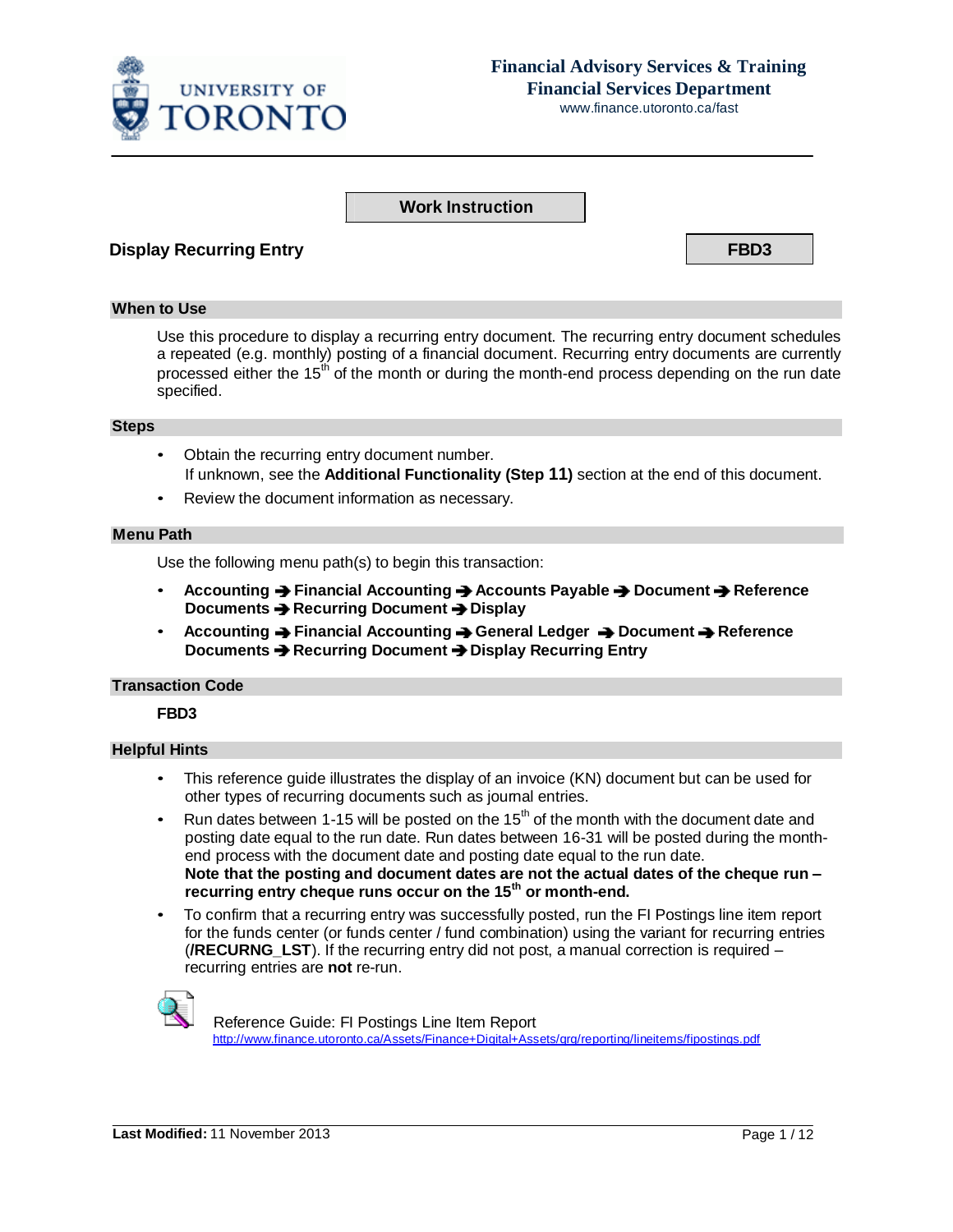

# **Financial Advisory Services & Training Financial Services Department**

www.finance.utoronto.ca/fast

### **Work Instruction**

### **Display Recurring Entry FBD3**

#### **When to Use**

Use this procedure to display a recurring entry document. The recurring entry document schedules a repeated (e.g. monthly) posting of a financial document. Recurring entry documents are currently processed either the 15<sup>th</sup> of the month or during the month-end process depending on the run date specified.

#### **Steps**

- Obtain the recurring entry document number. If unknown, see the **Additional Functionality (Step 11)** section at the end of this document.
- Review the document information as necessary.

#### **Menu Path**

Use the following menu path(s) to begin this transaction:

- **Accounting Financial Accounting Accounts Payable Document Reference Documents → Recurring Document → Display**
- **Accounting Financial Accounting General Ledger Document Reference Documents Recurring Document Display Recurring Entry**

### **Transaction Code**

### **FBD3**

### **Helpful Hints**

- This reference guide illustrates the display of an invoice (KN) document but can be used for other types of recurring documents such as journal entries.
- Run dates between 1-15 will be posted on the 15<sup>th</sup> of the month with the document date and posting date equal to the run date. Run dates between 16-31 will be posted during the monthend process with the document date and posting date equal to the run date. **Note that the posting and document dates are not the actual dates of the cheque run – recurring entry cheque runs occur on the 15 th or month-end.**
- To confirm that a recurring entry was successfully posted, run the FI Postings line item report for the funds center (or funds center / fund combination) using the variant for recurring entries (**/RECURNG\_LST**). If the recurring entry did not post, a manual correction is required – recurring entries are **not** re-run.



 Reference Guide: FI Postings Line Item Report [http://www.finance.utoronto.ca/Assets/Finance+Digital+Assets/qrg/reporting/lineitems/fipostings.pdf](http://finance.utoronto.ca/wp-content/uploads/2015/10/fipostings.pdf)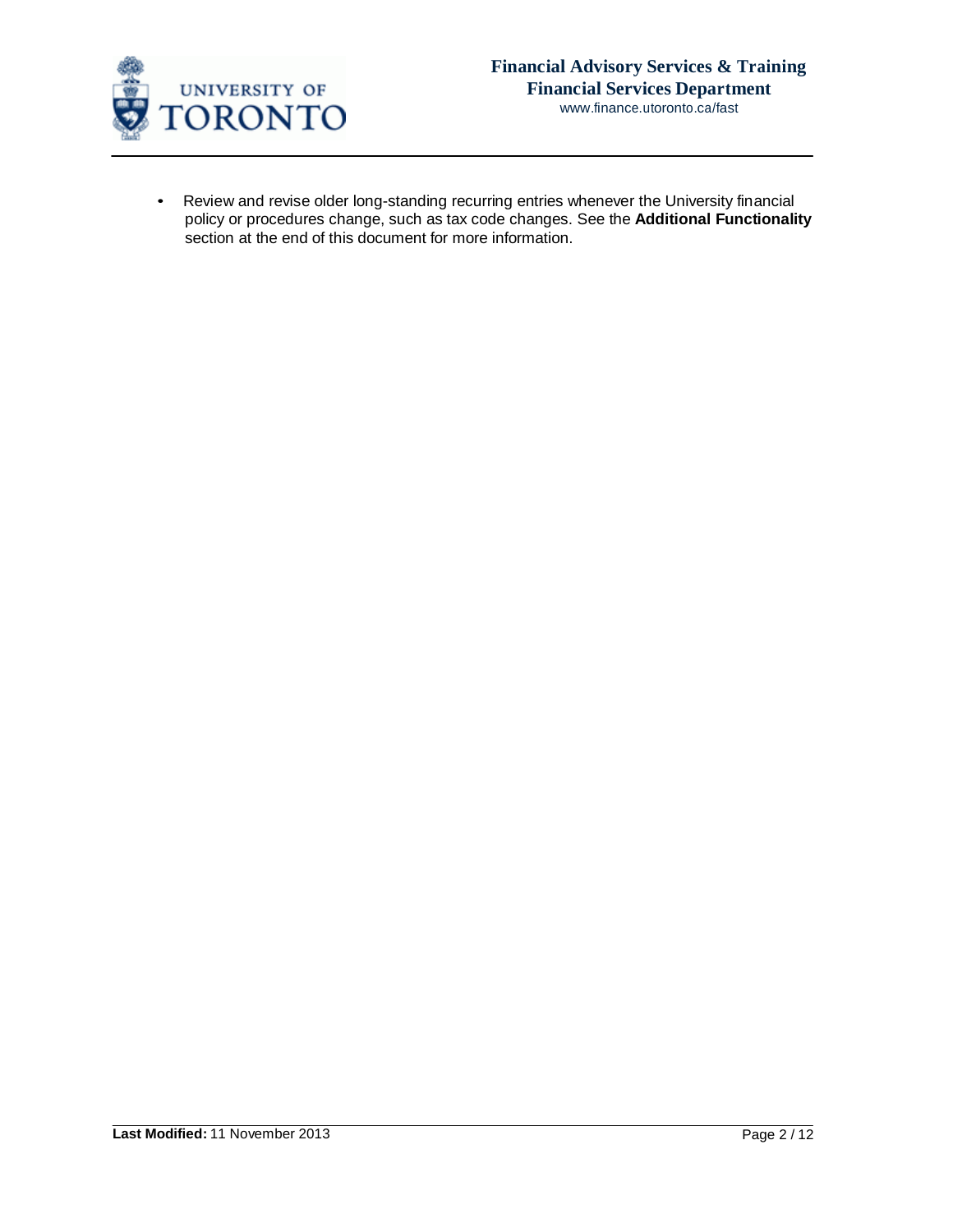

• Review and revise older long-standing recurring entries whenever the University financial policy or procedures change, such as tax code changes. See the **Additional Functionality**  section at the end of this document for more information.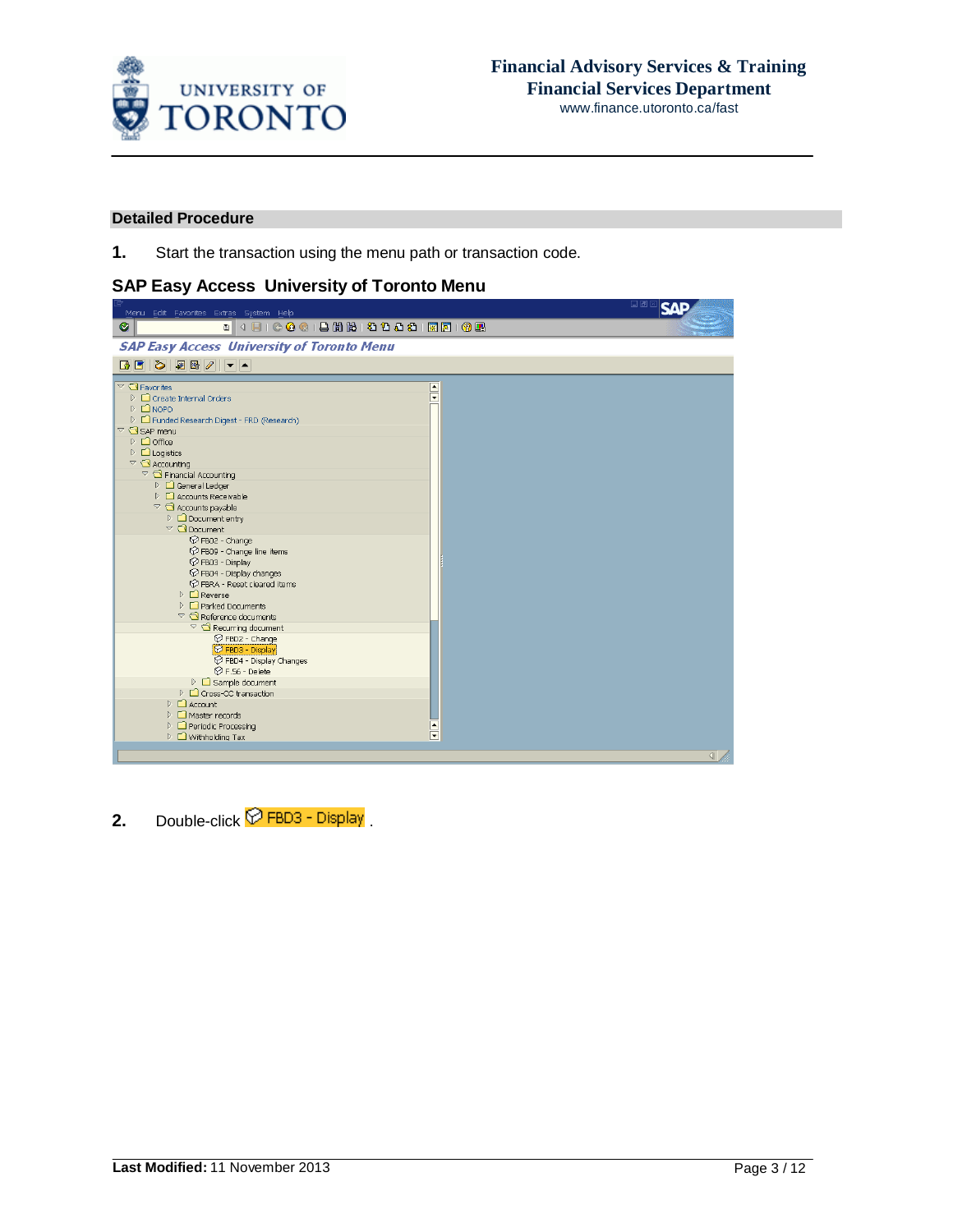

### **Detailed Procedure**

**1.** Start the transaction using the menu path or transaction code.

## **SAP Easy Access University of Toronto Menu**

**2.** Double-click  $\widehat{\nabla}$  FBD3 - Display.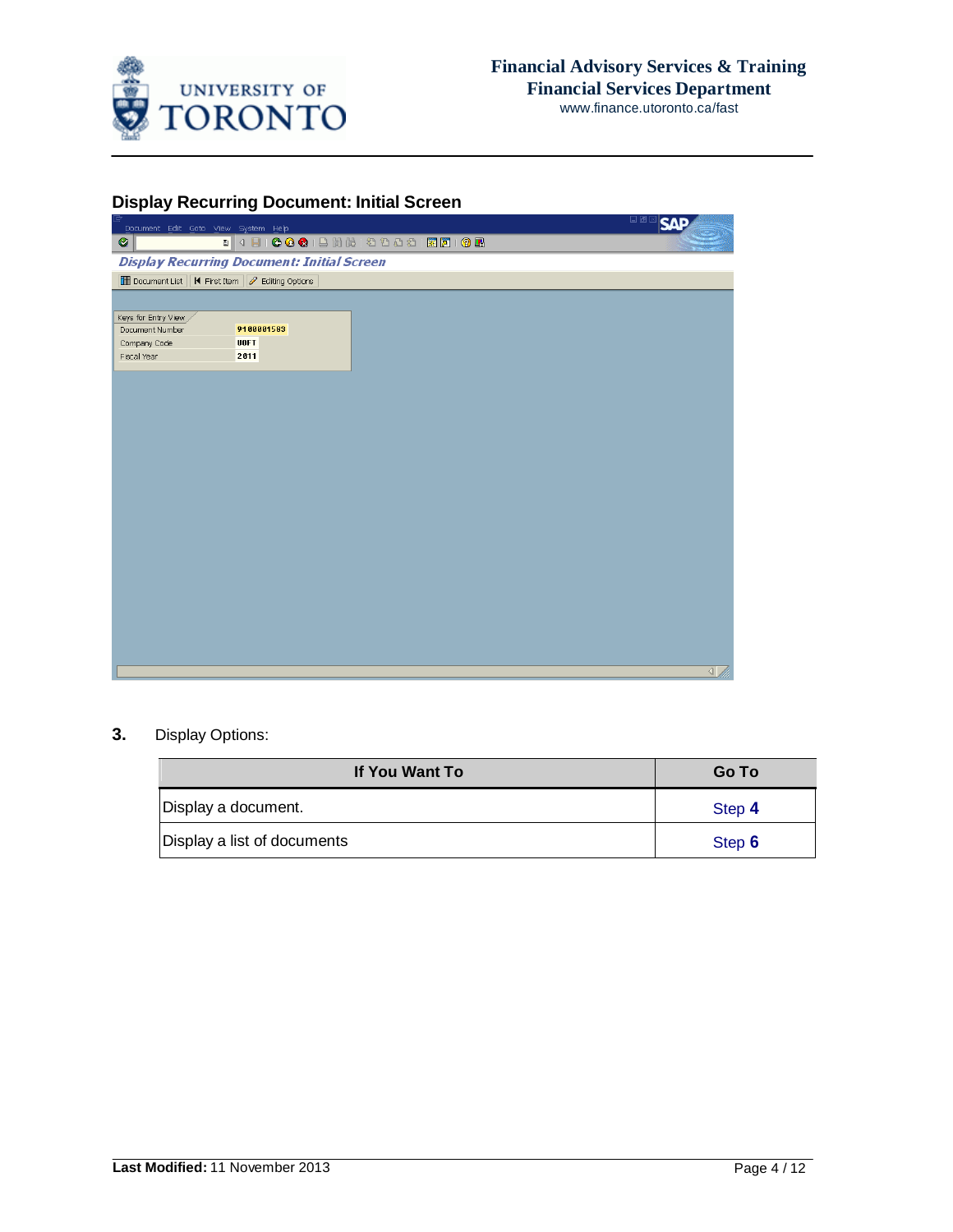

## **Display Recurring Document: Initial Screen**

| Document Edit Goto View System Help              |                                                   |                                                   | 口画区<br><b>SAF</b> |
|--------------------------------------------------|---------------------------------------------------|---------------------------------------------------|-------------------|
| Ø                                                |                                                   | . 4 8 6 6 6 6 6 6 6 7 8 9 8 9 8 8 8 8 8 8 8 8 8 8 |                   |
|                                                  | <b>Display Recurring Document: Initial Screen</b> |                                                   |                   |
| Document List   K First Item   2 Editing Options |                                                   |                                                   |                   |
|                                                  |                                                   |                                                   |                   |
| Keys for Entry View                              |                                                   |                                                   |                   |
| Document Number                                  | 9100001583                                        |                                                   |                   |
| Company Code                                     | <b>UOFT</b>                                       |                                                   |                   |
| Fiscal Year                                      | 2011                                              |                                                   |                   |
|                                                  |                                                   |                                                   |                   |
|                                                  |                                                   |                                                   |                   |
|                                                  |                                                   |                                                   |                   |
|                                                  |                                                   |                                                   |                   |
|                                                  |                                                   |                                                   |                   |
|                                                  |                                                   |                                                   |                   |
|                                                  |                                                   |                                                   |                   |
|                                                  |                                                   |                                                   |                   |
|                                                  |                                                   |                                                   |                   |
|                                                  |                                                   |                                                   |                   |
|                                                  |                                                   |                                                   |                   |
|                                                  |                                                   |                                                   |                   |
|                                                  |                                                   |                                                   |                   |
|                                                  |                                                   |                                                   |                   |
|                                                  |                                                   |                                                   |                   |
|                                                  |                                                   |                                                   |                   |
|                                                  |                                                   |                                                   |                   |
|                                                  |                                                   |                                                   |                   |
|                                                  |                                                   |                                                   |                   |
|                                                  |                                                   |                                                   |                   |
|                                                  |                                                   |                                                   |                   |
|                                                  |                                                   |                                                   | $\left  \right $  |
|                                                  |                                                   |                                                   |                   |

## **3.** Display Options:

| If You Want To              | <b>Go To</b> |  |  |  |  |
|-----------------------------|--------------|--|--|--|--|
| Display a document.         | Step 4       |  |  |  |  |
| Display a list of documents | Step 6       |  |  |  |  |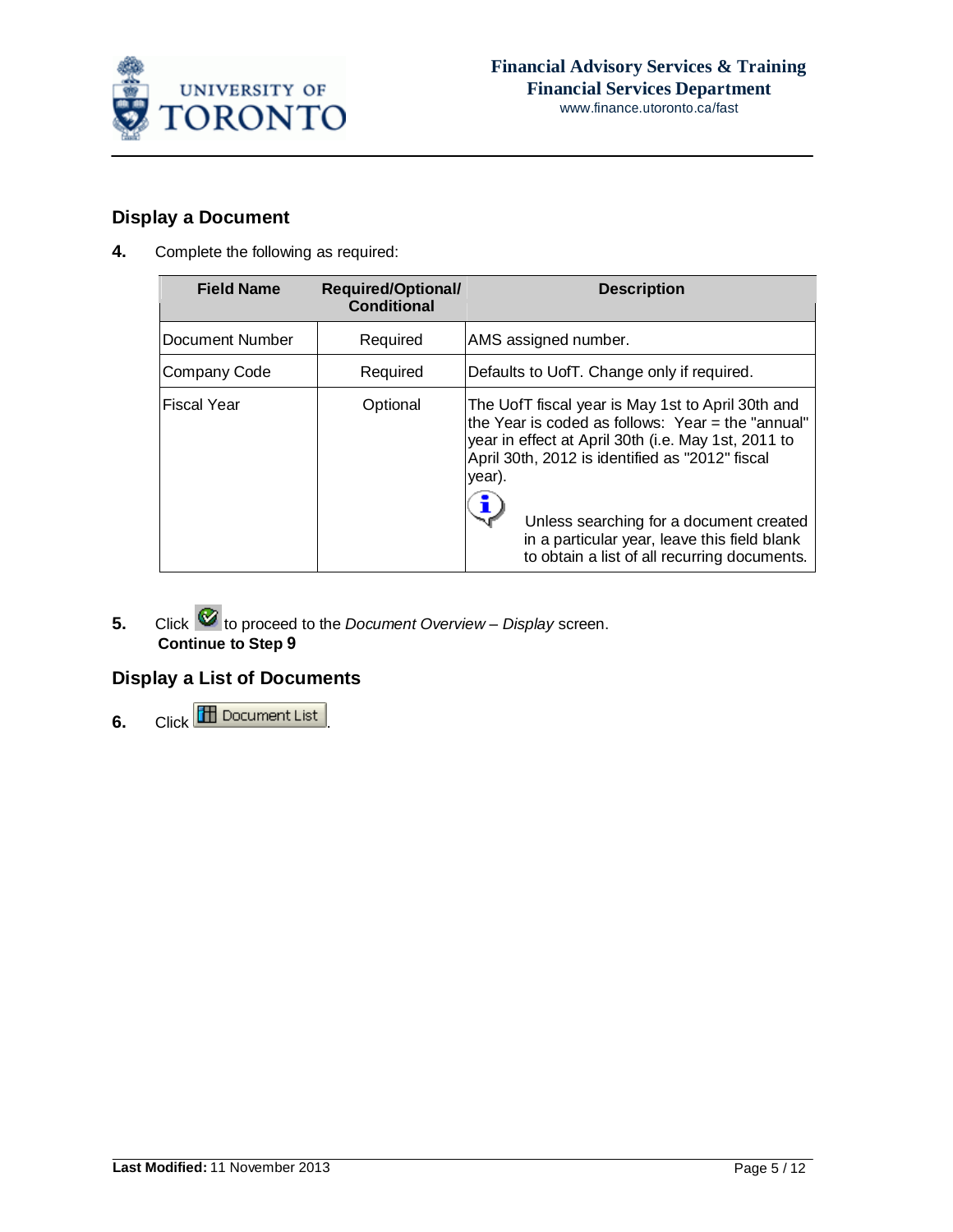

# **Display a Document**

**4.** Complete the following as required:

| <b>Field Name</b>  | <b>Required/Optional/</b><br><b>Conditional</b> | <b>Description</b>                                                                                                                                                                                                                                                                                                                                                      |
|--------------------|-------------------------------------------------|-------------------------------------------------------------------------------------------------------------------------------------------------------------------------------------------------------------------------------------------------------------------------------------------------------------------------------------------------------------------------|
| Document Number    | Required                                        | AMS assigned number.                                                                                                                                                                                                                                                                                                                                                    |
| Company Code       | Required                                        | Defaults to UofT. Change only if required.                                                                                                                                                                                                                                                                                                                              |
| <b>Fiscal Year</b> | Optional                                        | The UofT fiscal year is May 1st to April 30th and<br>the Year is coded as follows: Year $=$ the "annual"<br>year in effect at April 30th (i.e. May 1st, 2011 to<br>April 30th, 2012 is identified as "2012" fiscal<br>year).<br>Unless searching for a document created<br>in a particular year, leave this field blank<br>to obtain a list of all recurring documents. |

**5.** Click **to** proceed to the *Document* Overview – *Display* screen. **Continue to Step 9**

# **Display a List of Documents**

**6.** Click **III** Document List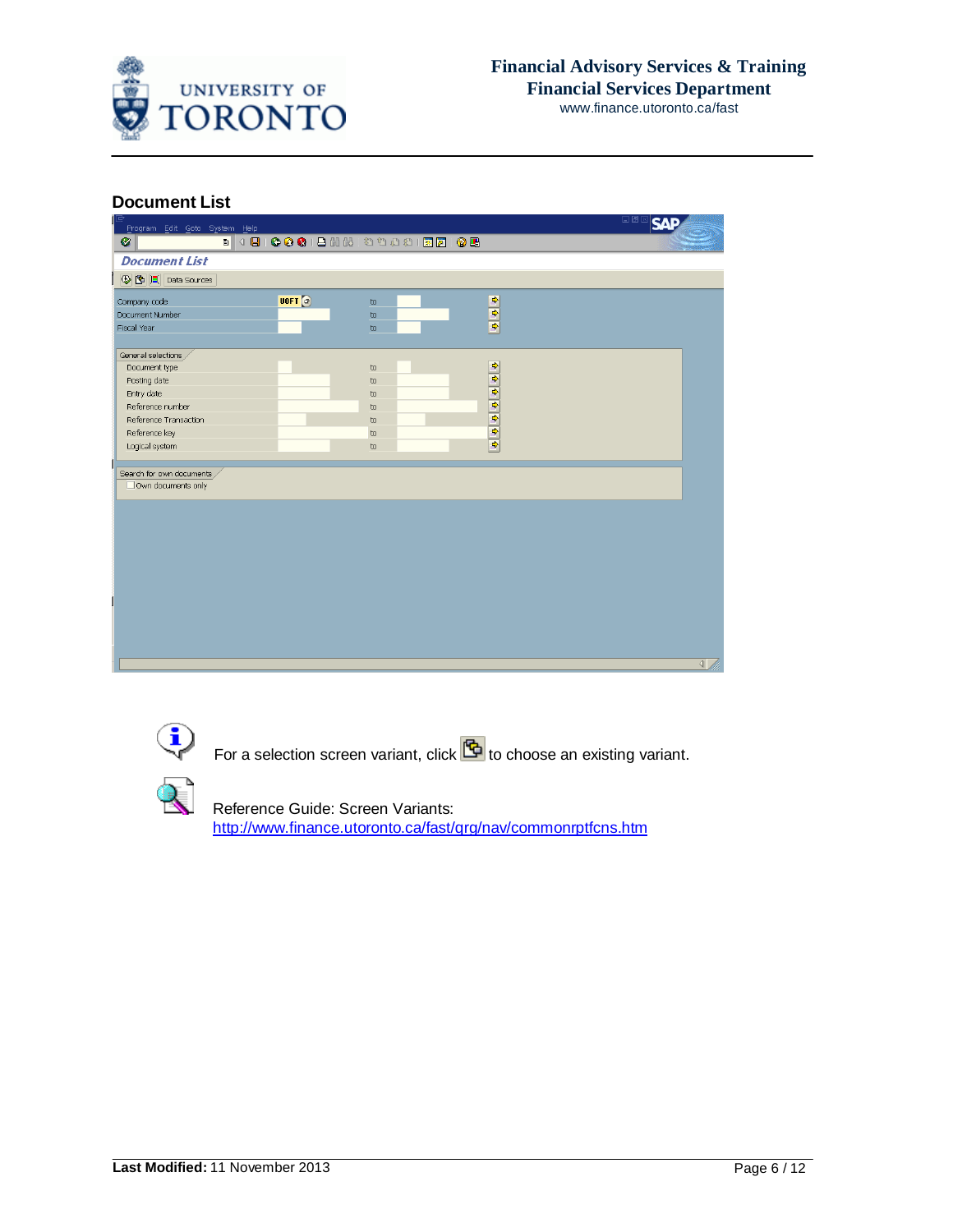

### **Document List**

| Program Edit Goto System Help |      |                                        |                          | H⊠⊠∣SAF         |
|-------------------------------|------|----------------------------------------|--------------------------|-----------------|
| Ø                             |      |                                        |                          |                 |
| <b>Document List</b>          |      |                                        |                          |                 |
| <b>B C C Data Sources</b>     |      |                                        |                          |                 |
| Company code                  | U0FT | $\omega$                               |                          |                 |
| Document Number               |      | $\mathbf{t}$                           | $\frac{1}{2}$            |                 |
| Fiscal Year                   |      | $\mathbf{t}$                           |                          |                 |
|                               |      |                                        |                          |                 |
| General selections            |      |                                        | ф                        |                 |
| Document type                 |      | $\mathop{\mathrm{to}}$                 |                          |                 |
| Posting date<br>Entry date    |      | $\mathbf{t}$<br>$\mathop{\mathrm{to}}$ | $\overline{\phantom{.}}$ |                 |
| Reference number              |      | $\mathbf{t}$                           | $\overline{\phantom{0}}$ |                 |
| Reference Transaction         |      | $\mathbf{t}$                           | $\overline{\phantom{0}}$ |                 |
| Reference key                 |      | $\mathbf{t}$                           |                          |                 |
| Logical system                |      | $\mathbf{t}$                           | $\frac{1}{\sqrt{2}}$     |                 |
|                               |      |                                        |                          |                 |
| Search for own documents      |      |                                        |                          |                 |
| Own documents only            |      |                                        |                          |                 |
|                               |      |                                        |                          |                 |
|                               |      |                                        |                          |                 |
|                               |      |                                        |                          |                 |
|                               |      |                                        |                          |                 |
|                               |      |                                        |                          |                 |
|                               |      |                                        |                          |                 |
|                               |      |                                        |                          |                 |
|                               |      |                                        |                          |                 |
|                               |      |                                        |                          |                 |
|                               |      |                                        |                          |                 |
|                               |      |                                        |                          |                 |
|                               |      |                                        |                          |                 |
|                               |      |                                        |                          | $\triangleleft$ |
|                               |      |                                        |                          |                 |

For a selection screen variant, click **the set of choose** an existing variant.

 Reference Guide: Screen Variants: [http://www.finance.utoronto.ca/fast/qrg/nav/commonrptfcns.htm](http://finance.utoronto.ca/faqs/running-reports/)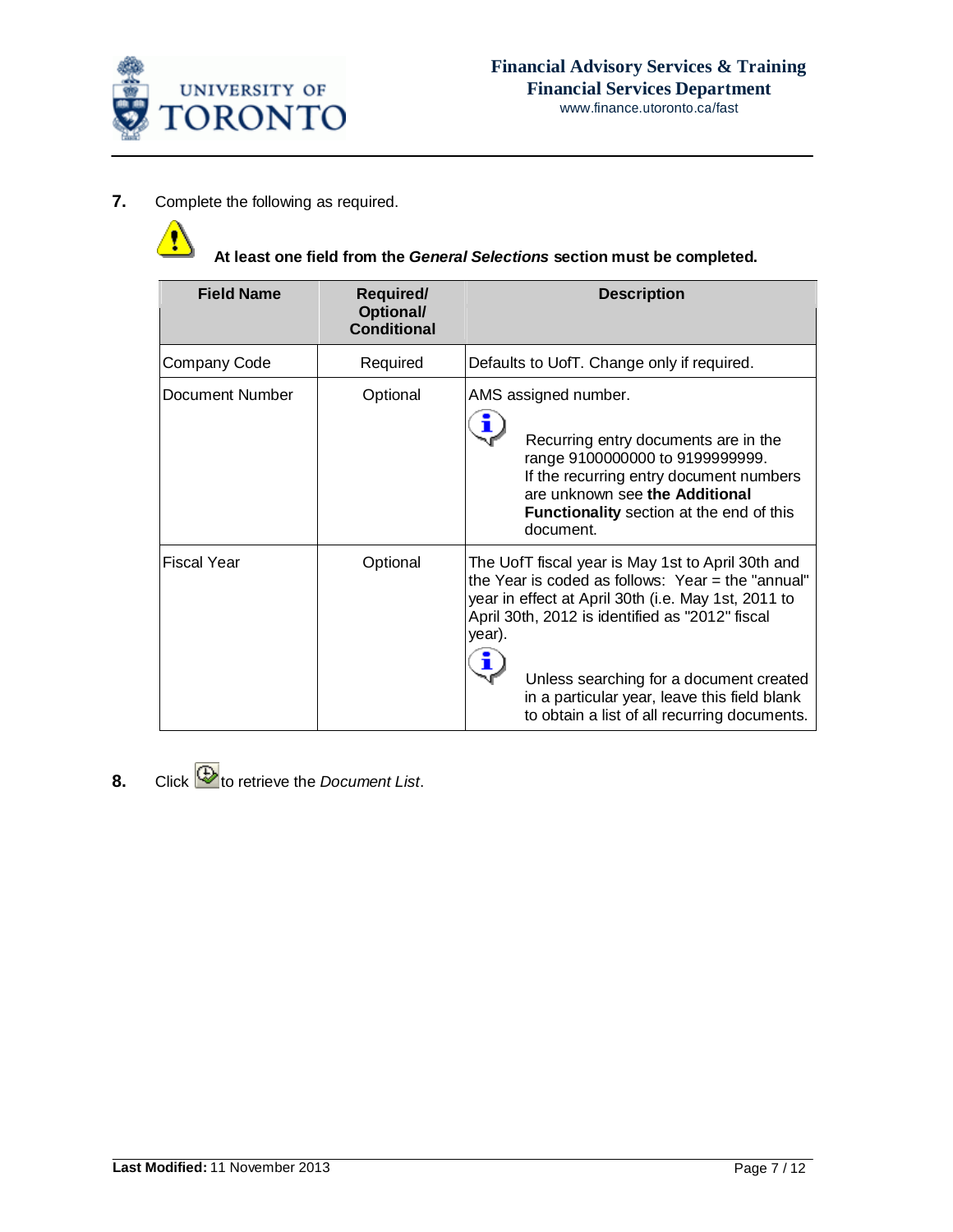

### **7.** Complete the following as required.

**At least one field from the** *General Selections* **section must be completed.**

| <b>Field Name</b>  | <b>Required/</b><br>Optional/<br><b>Conditional</b> | <b>Description</b>                                                                                                                                                                                                                                                                                                                                                    |
|--------------------|-----------------------------------------------------|-----------------------------------------------------------------------------------------------------------------------------------------------------------------------------------------------------------------------------------------------------------------------------------------------------------------------------------------------------------------------|
| Company Code       | Required                                            | Defaults to UofT. Change only if required.                                                                                                                                                                                                                                                                                                                            |
| Document Number    | Optional                                            | AMS assigned number.<br>Recurring entry documents are in the<br>range 9100000000 to 9199999999.<br>If the recurring entry document numbers<br>are unknown see the Additional<br><b>Functionality</b> section at the end of this<br>document.                                                                                                                          |
| <b>Fiscal Year</b> | Optional                                            | The UofT fiscal year is May 1st to April 30th and<br>the Year is coded as follows: Year = the "annual"<br>year in effect at April 30th (i.e. May 1st, 2011 to<br>April 30th, 2012 is identified as "2012" fiscal<br>year).<br>Unless searching for a document created<br>in a particular year, leave this field blank<br>to obtain a list of all recurring documents. |

**8.** Click **b** to retrieve the *Document List.*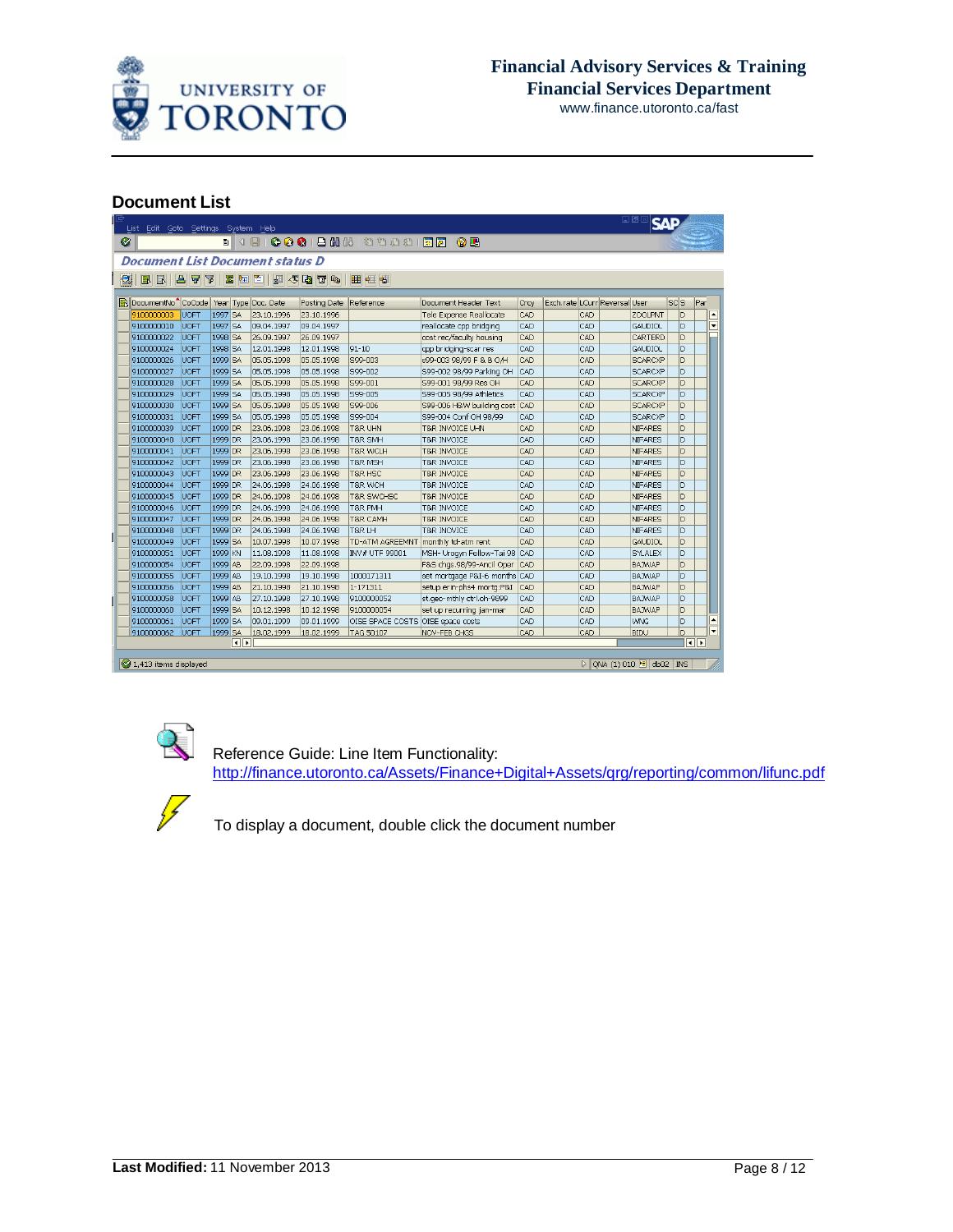

### **Document List**

| BBI<br>台号区<br><b>ZAPLJJJJ</b> O<br>用印书<br>DocumentNo <sup>1</sup> CoCode<br>Exch.rate LCurr Reversal User<br>scls<br>Year Type Doc. Date<br>Reference<br>Document Header Text<br>Posting Date<br>Crcy<br>ID<br><b>UOFT</b><br>1997 SA<br>Tele Expense Reallocate<br>CAD<br>CAD<br>ZOOLPNT<br>9100000003<br>23.10.1996<br>23.10.1996<br>1997 SA<br><b>CAD</b><br>CAD<br>ID.<br>9100000010<br><b>UOFT</b><br>09.04.1997<br>reallocate cpp bridging<br><b>GAUDIOL</b><br>09.04.1997<br>cost rec/faculty housing<br>CAD<br>9100000022<br><b>UOFT</b><br>1998 SA<br>26.09.1997<br>26.09.1997<br>CAD<br>CARTERD<br>ID.<br>1998 SA<br>$91 - 10$<br>cpp bridging-scar res<br>CAD<br>CAD<br>In.<br>9100000024<br><b>UOFT</b><br>12.01.1998<br>12.01.1998<br>GAUDIOL<br>D<br><b>UOFT</b><br>1999 SA<br>05.05.1998<br>S99-003<br>s99-003 98/99 F & B O/H<br>CAD<br>9100000026<br>05.05.1998<br>CAD<br><b>SCARCXP</b><br>1999 SA<br>S99-002<br><b>CAD</b><br>ID.<br>9100000027<br><b>UOFT</b><br>05.05.1998<br>05.05.1998<br>S99-002 98/99 Parking OH<br>CAD<br><b>SCARCXP</b><br>CAD<br>D<br>9100000028<br><b>UOFT</b><br>1999 SA<br>05.05.1998<br>05.05.1998<br>S99-001<br>S99-001 98/99 Res OH<br>CAD<br><b>SCARCXP</b><br>lD.<br><b>UOFT</b><br>1999 SA<br>S99-005<br>CAD<br>CAD<br>9100000029<br>05.05.1998<br>05.05.1998<br>S99-005 98/99 Athletics<br><b>SCARCXP</b><br>ID.<br>1999 SA<br>S99-006 H&W building cost CAD<br>CAD<br>9100000030<br><b>UOFT</b><br>05.05.1998<br>05.05.1998<br>S99-006<br><b>SCARCXP</b><br>1999 SA<br>S99-004 Conf OH 98/99<br>CAD<br>ID<br>9100000031<br><b>UOFT</b><br>05.05.1998<br>05.05.1998<br>S99-004<br>CAD<br><b>SCARCXP</b><br>D<br>9100000039<br><b>UOFT</b><br>1999 DR<br>23.06.1998<br>23.06.1998<br>T&R UHN<br>T&R INVOICE UHN<br>CAD<br>CAD<br><b>NIFARES</b><br>D<br>1999 DR<br>23.06.1998<br>CAD<br>CAD<br>9100000040<br><b>UOFT</b><br>23.06.1998<br><b>T&amp;R SMH</b><br><b>T&amp;R INVOICE</b><br>NIFARES<br>9100000041<br><b>UOFT</b><br>1999 DR<br>23.06.1998<br>23.06.1998<br><b>T&amp;R WCLH</b><br>CAD<br>CAD<br><b>NIFARES</b><br>D<br><b>T&amp;R INVOICE</b><br>ld.<br>9100000042<br><b>UOFT</b><br>1999 DR<br>23.06.1998<br>23.06.1998<br><b>T&amp;R MSH</b><br>CAD<br>CAD<br>T&R INVOICE<br>NIFARES<br>ID.<br>9100000043<br><b>UOFT</b><br>1999 DR<br>23.06.1998<br>23.06.1998<br>T&R HSC<br>CAD<br>CAD<br><b>T&amp;R INVOICE</b><br><b>NIFARES</b><br>ld.<br>CAD<br>9100000044<br><b>UOFT</b><br>1999 DR<br>24.06.1998<br>24.06.1998<br>CAD<br><b>NIFARES</b><br><b>T&amp;R WCH</b><br><b>T&amp;R INVOICE</b><br><b>UOFT</b><br>1999 DR<br>CAD<br>D<br>9100000045<br>24.06.1998<br>24.06.1998<br><b>T&amp;R SWCHSC</b><br><b>T&amp;R INVOICE</b><br>CAD<br><b>NIFARES</b><br>CAD<br>In<br><b>UOFT</b><br>1999 DR<br>24.06.1998<br>CAD<br><b>NIFARES</b><br>9100000046<br>24.06.1998<br><b>T&amp;R PMH</b><br>T&R INVOICE<br>D<br>9100000047<br><b>UOFT</b><br>1999 DR<br>24.06.1998<br>24.06.1998<br>CAD<br>CAD<br><b>T&amp;R CAMH</b><br><b>T&amp;R INVOICE</b><br>NIFARES<br><b>UOFT</b><br>1999 DR<br>24.06.1998<br>CAD<br>CAD<br>ID.<br>9100000048<br>24.06.1998<br>T&R LH<br><b>T&amp;R INOVICE</b><br><b>NIFARES</b><br>1999 SA<br>CAD<br>9100000049<br><b>UOFT</b><br>10.07.1998<br>10.07.1998<br>TD-ATM AGREEMNT<br>monthly td-atm rent<br>CAD<br>GAUDIOL<br>D<br>ln.<br>9100000051<br><b>UOFT</b><br>1999 KN<br>MSH- Urogyn Fellow-Tai 98<br><b>CAD</b><br>CAD<br>11.08.1998<br>11.08.1998<br>INV # UTF 99001<br>SYLALEX<br>ln.<br><b>UOFT</b><br>1999 AB<br>F&S chgs.98/99-Ancil Oper<br>CAD<br>9100000054<br>22.09.1998<br>22.09.1998<br><b>CAD</b><br><b>BAJWAP</b><br>İD<br>1999 AB<br>1000171311<br>CAD<br>9100000055<br><b>UOFT</b><br>19.10.1998<br>19.10.1998<br>set mortgage P&I-6 months CAD<br><b>BAJWAP</b><br><b>UOFT</b><br>1999 AB<br>21.10.1998<br>setup erin-phs4 mortq:P&I<br><b>BAJWAP</b><br>D<br>9100000056<br>21.10.1998<br>1-171311<br><b>CAD</b><br>CAD<br>ld.<br>UOFT<br>1999 AB<br>27.10.1998<br>27.10.1998<br>st.geo-mthly ctrl.oh-9899<br>CAD<br>CAD<br><b>BAJWAP</b><br>9100000058<br>9100000052<br>1999 SA<br><b>UOFT</b><br>10.12.1998<br>CAD<br>CAD<br><b>BAJWAP</b><br>ID.<br>9100000060<br>10.12.1998<br>9100000054<br>set up recurring jan-mar<br>1999 SA<br>ID.<br>9100000061<br><b>UOFT</b><br>09.01.1999<br>09.01.1999<br>OISE SPACE COSTS OISE space costs<br>CAD<br>CAD<br><b>WNG</b><br><b>UOFT</b><br>1999 SA<br>CAD<br>D<br>9100000062<br>18.02.1999<br>18.02.1999<br>CAD<br><b>BIDU</b><br><b>TAG 50107</b><br>NOV-FEB CHGS | $^{\circ}$ |  |  | <b>Document List Document status D</b> |  |  |  |  |                          |
|-----------------------------------------------------------------------------------------------------------------------------------------------------------------------------------------------------------------------------------------------------------------------------------------------------------------------------------------------------------------------------------------------------------------------------------------------------------------------------------------------------------------------------------------------------------------------------------------------------------------------------------------------------------------------------------------------------------------------------------------------------------------------------------------------------------------------------------------------------------------------------------------------------------------------------------------------------------------------------------------------------------------------------------------------------------------------------------------------------------------------------------------------------------------------------------------------------------------------------------------------------------------------------------------------------------------------------------------------------------------------------------------------------------------------------------------------------------------------------------------------------------------------------------------------------------------------------------------------------------------------------------------------------------------------------------------------------------------------------------------------------------------------------------------------------------------------------------------------------------------------------------------------------------------------------------------------------------------------------------------------------------------------------------------------------------------------------------------------------------------------------------------------------------------------------------------------------------------------------------------------------------------------------------------------------------------------------------------------------------------------------------------------------------------------------------------------------------------------------------------------------------------------------------------------------------------------------------------------------------------------------------------------------------------------------------------------------------------------------------------------------------------------------------------------------------------------------------------------------------------------------------------------------------------------------------------------------------------------------------------------------------------------------------------------------------------------------------------------------------------------------------------------------------------------------------------------------------------------------------------------------------------------------------------------------------------------------------------------------------------------------------------------------------------------------------------------------------------------------------------------------------------------------------------------------------------------------------------------------------------------------------------------------------------------------------------------------------------------------------------------------------------------------------------------------------------------------------------------------------------------------------------------------------------------------------------------------------------------------------------------------------------------------------------------------------------------------------------------------------------------------------------------------------------------------------------------------------------------------------------------------------------------------------------------------------------------------------------------------------------------------------------------------------------------------------------------------------------------------------------------------------------------------------------|------------|--|--|----------------------------------------|--|--|--|--|--------------------------|
|                                                                                                                                                                                                                                                                                                                                                                                                                                                                                                                                                                                                                                                                                                                                                                                                                                                                                                                                                                                                                                                                                                                                                                                                                                                                                                                                                                                                                                                                                                                                                                                                                                                                                                                                                                                                                                                                                                                                                                                                                                                                                                                                                                                                                                                                                                                                                                                                                                                                                                                                                                                                                                                                                                                                                                                                                                                                                                                                                                                                                                                                                                                                                                                                                                                                                                                                                                                                                                                                                                                                                                                                                                                                                                                                                                                                                                                                                                                                                                                                                                                                                                                                                                                                                                                                                                                                                                                                                                                                                                                                         |            |  |  |                                        |  |  |  |  |                          |
|                                                                                                                                                                                                                                                                                                                                                                                                                                                                                                                                                                                                                                                                                                                                                                                                                                                                                                                                                                                                                                                                                                                                                                                                                                                                                                                                                                                                                                                                                                                                                                                                                                                                                                                                                                                                                                                                                                                                                                                                                                                                                                                                                                                                                                                                                                                                                                                                                                                                                                                                                                                                                                                                                                                                                                                                                                                                                                                                                                                                                                                                                                                                                                                                                                                                                                                                                                                                                                                                                                                                                                                                                                                                                                                                                                                                                                                                                                                                                                                                                                                                                                                                                                                                                                                                                                                                                                                                                                                                                                                                         |            |  |  |                                        |  |  |  |  | Par                      |
|                                                                                                                                                                                                                                                                                                                                                                                                                                                                                                                                                                                                                                                                                                                                                                                                                                                                                                                                                                                                                                                                                                                                                                                                                                                                                                                                                                                                                                                                                                                                                                                                                                                                                                                                                                                                                                                                                                                                                                                                                                                                                                                                                                                                                                                                                                                                                                                                                                                                                                                                                                                                                                                                                                                                                                                                                                                                                                                                                                                                                                                                                                                                                                                                                                                                                                                                                                                                                                                                                                                                                                                                                                                                                                                                                                                                                                                                                                                                                                                                                                                                                                                                                                                                                                                                                                                                                                                                                                                                                                                                         |            |  |  |                                        |  |  |  |  | $\blacktriangle$         |
|                                                                                                                                                                                                                                                                                                                                                                                                                                                                                                                                                                                                                                                                                                                                                                                                                                                                                                                                                                                                                                                                                                                                                                                                                                                                                                                                                                                                                                                                                                                                                                                                                                                                                                                                                                                                                                                                                                                                                                                                                                                                                                                                                                                                                                                                                                                                                                                                                                                                                                                                                                                                                                                                                                                                                                                                                                                                                                                                                                                                                                                                                                                                                                                                                                                                                                                                                                                                                                                                                                                                                                                                                                                                                                                                                                                                                                                                                                                                                                                                                                                                                                                                                                                                                                                                                                                                                                                                                                                                                                                                         |            |  |  |                                        |  |  |  |  | $\overline{\phantom{a}}$ |
|                                                                                                                                                                                                                                                                                                                                                                                                                                                                                                                                                                                                                                                                                                                                                                                                                                                                                                                                                                                                                                                                                                                                                                                                                                                                                                                                                                                                                                                                                                                                                                                                                                                                                                                                                                                                                                                                                                                                                                                                                                                                                                                                                                                                                                                                                                                                                                                                                                                                                                                                                                                                                                                                                                                                                                                                                                                                                                                                                                                                                                                                                                                                                                                                                                                                                                                                                                                                                                                                                                                                                                                                                                                                                                                                                                                                                                                                                                                                                                                                                                                                                                                                                                                                                                                                                                                                                                                                                                                                                                                                         |            |  |  |                                        |  |  |  |  |                          |
|                                                                                                                                                                                                                                                                                                                                                                                                                                                                                                                                                                                                                                                                                                                                                                                                                                                                                                                                                                                                                                                                                                                                                                                                                                                                                                                                                                                                                                                                                                                                                                                                                                                                                                                                                                                                                                                                                                                                                                                                                                                                                                                                                                                                                                                                                                                                                                                                                                                                                                                                                                                                                                                                                                                                                                                                                                                                                                                                                                                                                                                                                                                                                                                                                                                                                                                                                                                                                                                                                                                                                                                                                                                                                                                                                                                                                                                                                                                                                                                                                                                                                                                                                                                                                                                                                                                                                                                                                                                                                                                                         |            |  |  |                                        |  |  |  |  |                          |
|                                                                                                                                                                                                                                                                                                                                                                                                                                                                                                                                                                                                                                                                                                                                                                                                                                                                                                                                                                                                                                                                                                                                                                                                                                                                                                                                                                                                                                                                                                                                                                                                                                                                                                                                                                                                                                                                                                                                                                                                                                                                                                                                                                                                                                                                                                                                                                                                                                                                                                                                                                                                                                                                                                                                                                                                                                                                                                                                                                                                                                                                                                                                                                                                                                                                                                                                                                                                                                                                                                                                                                                                                                                                                                                                                                                                                                                                                                                                                                                                                                                                                                                                                                                                                                                                                                                                                                                                                                                                                                                                         |            |  |  |                                        |  |  |  |  |                          |
|                                                                                                                                                                                                                                                                                                                                                                                                                                                                                                                                                                                                                                                                                                                                                                                                                                                                                                                                                                                                                                                                                                                                                                                                                                                                                                                                                                                                                                                                                                                                                                                                                                                                                                                                                                                                                                                                                                                                                                                                                                                                                                                                                                                                                                                                                                                                                                                                                                                                                                                                                                                                                                                                                                                                                                                                                                                                                                                                                                                                                                                                                                                                                                                                                                                                                                                                                                                                                                                                                                                                                                                                                                                                                                                                                                                                                                                                                                                                                                                                                                                                                                                                                                                                                                                                                                                                                                                                                                                                                                                                         |            |  |  |                                        |  |  |  |  |                          |
|                                                                                                                                                                                                                                                                                                                                                                                                                                                                                                                                                                                                                                                                                                                                                                                                                                                                                                                                                                                                                                                                                                                                                                                                                                                                                                                                                                                                                                                                                                                                                                                                                                                                                                                                                                                                                                                                                                                                                                                                                                                                                                                                                                                                                                                                                                                                                                                                                                                                                                                                                                                                                                                                                                                                                                                                                                                                                                                                                                                                                                                                                                                                                                                                                                                                                                                                                                                                                                                                                                                                                                                                                                                                                                                                                                                                                                                                                                                                                                                                                                                                                                                                                                                                                                                                                                                                                                                                                                                                                                                                         |            |  |  |                                        |  |  |  |  |                          |
|                                                                                                                                                                                                                                                                                                                                                                                                                                                                                                                                                                                                                                                                                                                                                                                                                                                                                                                                                                                                                                                                                                                                                                                                                                                                                                                                                                                                                                                                                                                                                                                                                                                                                                                                                                                                                                                                                                                                                                                                                                                                                                                                                                                                                                                                                                                                                                                                                                                                                                                                                                                                                                                                                                                                                                                                                                                                                                                                                                                                                                                                                                                                                                                                                                                                                                                                                                                                                                                                                                                                                                                                                                                                                                                                                                                                                                                                                                                                                                                                                                                                                                                                                                                                                                                                                                                                                                                                                                                                                                                                         |            |  |  |                                        |  |  |  |  |                          |
|                                                                                                                                                                                                                                                                                                                                                                                                                                                                                                                                                                                                                                                                                                                                                                                                                                                                                                                                                                                                                                                                                                                                                                                                                                                                                                                                                                                                                                                                                                                                                                                                                                                                                                                                                                                                                                                                                                                                                                                                                                                                                                                                                                                                                                                                                                                                                                                                                                                                                                                                                                                                                                                                                                                                                                                                                                                                                                                                                                                                                                                                                                                                                                                                                                                                                                                                                                                                                                                                                                                                                                                                                                                                                                                                                                                                                                                                                                                                                                                                                                                                                                                                                                                                                                                                                                                                                                                                                                                                                                                                         |            |  |  |                                        |  |  |  |  |                          |
|                                                                                                                                                                                                                                                                                                                                                                                                                                                                                                                                                                                                                                                                                                                                                                                                                                                                                                                                                                                                                                                                                                                                                                                                                                                                                                                                                                                                                                                                                                                                                                                                                                                                                                                                                                                                                                                                                                                                                                                                                                                                                                                                                                                                                                                                                                                                                                                                                                                                                                                                                                                                                                                                                                                                                                                                                                                                                                                                                                                                                                                                                                                                                                                                                                                                                                                                                                                                                                                                                                                                                                                                                                                                                                                                                                                                                                                                                                                                                                                                                                                                                                                                                                                                                                                                                                                                                                                                                                                                                                                                         |            |  |  |                                        |  |  |  |  |                          |
|                                                                                                                                                                                                                                                                                                                                                                                                                                                                                                                                                                                                                                                                                                                                                                                                                                                                                                                                                                                                                                                                                                                                                                                                                                                                                                                                                                                                                                                                                                                                                                                                                                                                                                                                                                                                                                                                                                                                                                                                                                                                                                                                                                                                                                                                                                                                                                                                                                                                                                                                                                                                                                                                                                                                                                                                                                                                                                                                                                                                                                                                                                                                                                                                                                                                                                                                                                                                                                                                                                                                                                                                                                                                                                                                                                                                                                                                                                                                                                                                                                                                                                                                                                                                                                                                                                                                                                                                                                                                                                                                         |            |  |  |                                        |  |  |  |  |                          |
|                                                                                                                                                                                                                                                                                                                                                                                                                                                                                                                                                                                                                                                                                                                                                                                                                                                                                                                                                                                                                                                                                                                                                                                                                                                                                                                                                                                                                                                                                                                                                                                                                                                                                                                                                                                                                                                                                                                                                                                                                                                                                                                                                                                                                                                                                                                                                                                                                                                                                                                                                                                                                                                                                                                                                                                                                                                                                                                                                                                                                                                                                                                                                                                                                                                                                                                                                                                                                                                                                                                                                                                                                                                                                                                                                                                                                                                                                                                                                                                                                                                                                                                                                                                                                                                                                                                                                                                                                                                                                                                                         |            |  |  |                                        |  |  |  |  |                          |
|                                                                                                                                                                                                                                                                                                                                                                                                                                                                                                                                                                                                                                                                                                                                                                                                                                                                                                                                                                                                                                                                                                                                                                                                                                                                                                                                                                                                                                                                                                                                                                                                                                                                                                                                                                                                                                                                                                                                                                                                                                                                                                                                                                                                                                                                                                                                                                                                                                                                                                                                                                                                                                                                                                                                                                                                                                                                                                                                                                                                                                                                                                                                                                                                                                                                                                                                                                                                                                                                                                                                                                                                                                                                                                                                                                                                                                                                                                                                                                                                                                                                                                                                                                                                                                                                                                                                                                                                                                                                                                                                         |            |  |  |                                        |  |  |  |  |                          |
|                                                                                                                                                                                                                                                                                                                                                                                                                                                                                                                                                                                                                                                                                                                                                                                                                                                                                                                                                                                                                                                                                                                                                                                                                                                                                                                                                                                                                                                                                                                                                                                                                                                                                                                                                                                                                                                                                                                                                                                                                                                                                                                                                                                                                                                                                                                                                                                                                                                                                                                                                                                                                                                                                                                                                                                                                                                                                                                                                                                                                                                                                                                                                                                                                                                                                                                                                                                                                                                                                                                                                                                                                                                                                                                                                                                                                                                                                                                                                                                                                                                                                                                                                                                                                                                                                                                                                                                                                                                                                                                                         |            |  |  |                                        |  |  |  |  |                          |
|                                                                                                                                                                                                                                                                                                                                                                                                                                                                                                                                                                                                                                                                                                                                                                                                                                                                                                                                                                                                                                                                                                                                                                                                                                                                                                                                                                                                                                                                                                                                                                                                                                                                                                                                                                                                                                                                                                                                                                                                                                                                                                                                                                                                                                                                                                                                                                                                                                                                                                                                                                                                                                                                                                                                                                                                                                                                                                                                                                                                                                                                                                                                                                                                                                                                                                                                                                                                                                                                                                                                                                                                                                                                                                                                                                                                                                                                                                                                                                                                                                                                                                                                                                                                                                                                                                                                                                                                                                                                                                                                         |            |  |  |                                        |  |  |  |  |                          |
|                                                                                                                                                                                                                                                                                                                                                                                                                                                                                                                                                                                                                                                                                                                                                                                                                                                                                                                                                                                                                                                                                                                                                                                                                                                                                                                                                                                                                                                                                                                                                                                                                                                                                                                                                                                                                                                                                                                                                                                                                                                                                                                                                                                                                                                                                                                                                                                                                                                                                                                                                                                                                                                                                                                                                                                                                                                                                                                                                                                                                                                                                                                                                                                                                                                                                                                                                                                                                                                                                                                                                                                                                                                                                                                                                                                                                                                                                                                                                                                                                                                                                                                                                                                                                                                                                                                                                                                                                                                                                                                                         |            |  |  |                                        |  |  |  |  |                          |
|                                                                                                                                                                                                                                                                                                                                                                                                                                                                                                                                                                                                                                                                                                                                                                                                                                                                                                                                                                                                                                                                                                                                                                                                                                                                                                                                                                                                                                                                                                                                                                                                                                                                                                                                                                                                                                                                                                                                                                                                                                                                                                                                                                                                                                                                                                                                                                                                                                                                                                                                                                                                                                                                                                                                                                                                                                                                                                                                                                                                                                                                                                                                                                                                                                                                                                                                                                                                                                                                                                                                                                                                                                                                                                                                                                                                                                                                                                                                                                                                                                                                                                                                                                                                                                                                                                                                                                                                                                                                                                                                         |            |  |  |                                        |  |  |  |  |                          |
|                                                                                                                                                                                                                                                                                                                                                                                                                                                                                                                                                                                                                                                                                                                                                                                                                                                                                                                                                                                                                                                                                                                                                                                                                                                                                                                                                                                                                                                                                                                                                                                                                                                                                                                                                                                                                                                                                                                                                                                                                                                                                                                                                                                                                                                                                                                                                                                                                                                                                                                                                                                                                                                                                                                                                                                                                                                                                                                                                                                                                                                                                                                                                                                                                                                                                                                                                                                                                                                                                                                                                                                                                                                                                                                                                                                                                                                                                                                                                                                                                                                                                                                                                                                                                                                                                                                                                                                                                                                                                                                                         |            |  |  |                                        |  |  |  |  |                          |
|                                                                                                                                                                                                                                                                                                                                                                                                                                                                                                                                                                                                                                                                                                                                                                                                                                                                                                                                                                                                                                                                                                                                                                                                                                                                                                                                                                                                                                                                                                                                                                                                                                                                                                                                                                                                                                                                                                                                                                                                                                                                                                                                                                                                                                                                                                                                                                                                                                                                                                                                                                                                                                                                                                                                                                                                                                                                                                                                                                                                                                                                                                                                                                                                                                                                                                                                                                                                                                                                                                                                                                                                                                                                                                                                                                                                                                                                                                                                                                                                                                                                                                                                                                                                                                                                                                                                                                                                                                                                                                                                         |            |  |  |                                        |  |  |  |  |                          |
|                                                                                                                                                                                                                                                                                                                                                                                                                                                                                                                                                                                                                                                                                                                                                                                                                                                                                                                                                                                                                                                                                                                                                                                                                                                                                                                                                                                                                                                                                                                                                                                                                                                                                                                                                                                                                                                                                                                                                                                                                                                                                                                                                                                                                                                                                                                                                                                                                                                                                                                                                                                                                                                                                                                                                                                                                                                                                                                                                                                                                                                                                                                                                                                                                                                                                                                                                                                                                                                                                                                                                                                                                                                                                                                                                                                                                                                                                                                                                                                                                                                                                                                                                                                                                                                                                                                                                                                                                                                                                                                                         |            |  |  |                                        |  |  |  |  |                          |
|                                                                                                                                                                                                                                                                                                                                                                                                                                                                                                                                                                                                                                                                                                                                                                                                                                                                                                                                                                                                                                                                                                                                                                                                                                                                                                                                                                                                                                                                                                                                                                                                                                                                                                                                                                                                                                                                                                                                                                                                                                                                                                                                                                                                                                                                                                                                                                                                                                                                                                                                                                                                                                                                                                                                                                                                                                                                                                                                                                                                                                                                                                                                                                                                                                                                                                                                                                                                                                                                                                                                                                                                                                                                                                                                                                                                                                                                                                                                                                                                                                                                                                                                                                                                                                                                                                                                                                                                                                                                                                                                         |            |  |  |                                        |  |  |  |  |                          |
|                                                                                                                                                                                                                                                                                                                                                                                                                                                                                                                                                                                                                                                                                                                                                                                                                                                                                                                                                                                                                                                                                                                                                                                                                                                                                                                                                                                                                                                                                                                                                                                                                                                                                                                                                                                                                                                                                                                                                                                                                                                                                                                                                                                                                                                                                                                                                                                                                                                                                                                                                                                                                                                                                                                                                                                                                                                                                                                                                                                                                                                                                                                                                                                                                                                                                                                                                                                                                                                                                                                                                                                                                                                                                                                                                                                                                                                                                                                                                                                                                                                                                                                                                                                                                                                                                                                                                                                                                                                                                                                                         |            |  |  |                                        |  |  |  |  |                          |
|                                                                                                                                                                                                                                                                                                                                                                                                                                                                                                                                                                                                                                                                                                                                                                                                                                                                                                                                                                                                                                                                                                                                                                                                                                                                                                                                                                                                                                                                                                                                                                                                                                                                                                                                                                                                                                                                                                                                                                                                                                                                                                                                                                                                                                                                                                                                                                                                                                                                                                                                                                                                                                                                                                                                                                                                                                                                                                                                                                                                                                                                                                                                                                                                                                                                                                                                                                                                                                                                                                                                                                                                                                                                                                                                                                                                                                                                                                                                                                                                                                                                                                                                                                                                                                                                                                                                                                                                                                                                                                                                         |            |  |  |                                        |  |  |  |  |                          |
|                                                                                                                                                                                                                                                                                                                                                                                                                                                                                                                                                                                                                                                                                                                                                                                                                                                                                                                                                                                                                                                                                                                                                                                                                                                                                                                                                                                                                                                                                                                                                                                                                                                                                                                                                                                                                                                                                                                                                                                                                                                                                                                                                                                                                                                                                                                                                                                                                                                                                                                                                                                                                                                                                                                                                                                                                                                                                                                                                                                                                                                                                                                                                                                                                                                                                                                                                                                                                                                                                                                                                                                                                                                                                                                                                                                                                                                                                                                                                                                                                                                                                                                                                                                                                                                                                                                                                                                                                                                                                                                                         |            |  |  |                                        |  |  |  |  |                          |
|                                                                                                                                                                                                                                                                                                                                                                                                                                                                                                                                                                                                                                                                                                                                                                                                                                                                                                                                                                                                                                                                                                                                                                                                                                                                                                                                                                                                                                                                                                                                                                                                                                                                                                                                                                                                                                                                                                                                                                                                                                                                                                                                                                                                                                                                                                                                                                                                                                                                                                                                                                                                                                                                                                                                                                                                                                                                                                                                                                                                                                                                                                                                                                                                                                                                                                                                                                                                                                                                                                                                                                                                                                                                                                                                                                                                                                                                                                                                                                                                                                                                                                                                                                                                                                                                                                                                                                                                                                                                                                                                         |            |  |  |                                        |  |  |  |  |                          |
|                                                                                                                                                                                                                                                                                                                                                                                                                                                                                                                                                                                                                                                                                                                                                                                                                                                                                                                                                                                                                                                                                                                                                                                                                                                                                                                                                                                                                                                                                                                                                                                                                                                                                                                                                                                                                                                                                                                                                                                                                                                                                                                                                                                                                                                                                                                                                                                                                                                                                                                                                                                                                                                                                                                                                                                                                                                                                                                                                                                                                                                                                                                                                                                                                                                                                                                                                                                                                                                                                                                                                                                                                                                                                                                                                                                                                                                                                                                                                                                                                                                                                                                                                                                                                                                                                                                                                                                                                                                                                                                                         |            |  |  |                                        |  |  |  |  |                          |
|                                                                                                                                                                                                                                                                                                                                                                                                                                                                                                                                                                                                                                                                                                                                                                                                                                                                                                                                                                                                                                                                                                                                                                                                                                                                                                                                                                                                                                                                                                                                                                                                                                                                                                                                                                                                                                                                                                                                                                                                                                                                                                                                                                                                                                                                                                                                                                                                                                                                                                                                                                                                                                                                                                                                                                                                                                                                                                                                                                                                                                                                                                                                                                                                                                                                                                                                                                                                                                                                                                                                                                                                                                                                                                                                                                                                                                                                                                                                                                                                                                                                                                                                                                                                                                                                                                                                                                                                                                                                                                                                         |            |  |  |                                        |  |  |  |  |                          |
|                                                                                                                                                                                                                                                                                                                                                                                                                                                                                                                                                                                                                                                                                                                                                                                                                                                                                                                                                                                                                                                                                                                                                                                                                                                                                                                                                                                                                                                                                                                                                                                                                                                                                                                                                                                                                                                                                                                                                                                                                                                                                                                                                                                                                                                                                                                                                                                                                                                                                                                                                                                                                                                                                                                                                                                                                                                                                                                                                                                                                                                                                                                                                                                                                                                                                                                                                                                                                                                                                                                                                                                                                                                                                                                                                                                                                                                                                                                                                                                                                                                                                                                                                                                                                                                                                                                                                                                                                                                                                                                                         |            |  |  |                                        |  |  |  |  |                          |
|                                                                                                                                                                                                                                                                                                                                                                                                                                                                                                                                                                                                                                                                                                                                                                                                                                                                                                                                                                                                                                                                                                                                                                                                                                                                                                                                                                                                                                                                                                                                                                                                                                                                                                                                                                                                                                                                                                                                                                                                                                                                                                                                                                                                                                                                                                                                                                                                                                                                                                                                                                                                                                                                                                                                                                                                                                                                                                                                                                                                                                                                                                                                                                                                                                                                                                                                                                                                                                                                                                                                                                                                                                                                                                                                                                                                                                                                                                                                                                                                                                                                                                                                                                                                                                                                                                                                                                                                                                                                                                                                         |            |  |  |                                        |  |  |  |  |                          |



 $\sqrt{\frac{2}{3}}$ 

 Reference Guide: Line Item Functionality: [http://finance.utoronto.ca/Assets/Finance+Digital+Assets/qrg/reporting/common/lifunc.pdf](http://finance.utoronto.ca/wp-content/uploads/2015/11/lifunctionality.pdf)

To display a document, double click the document number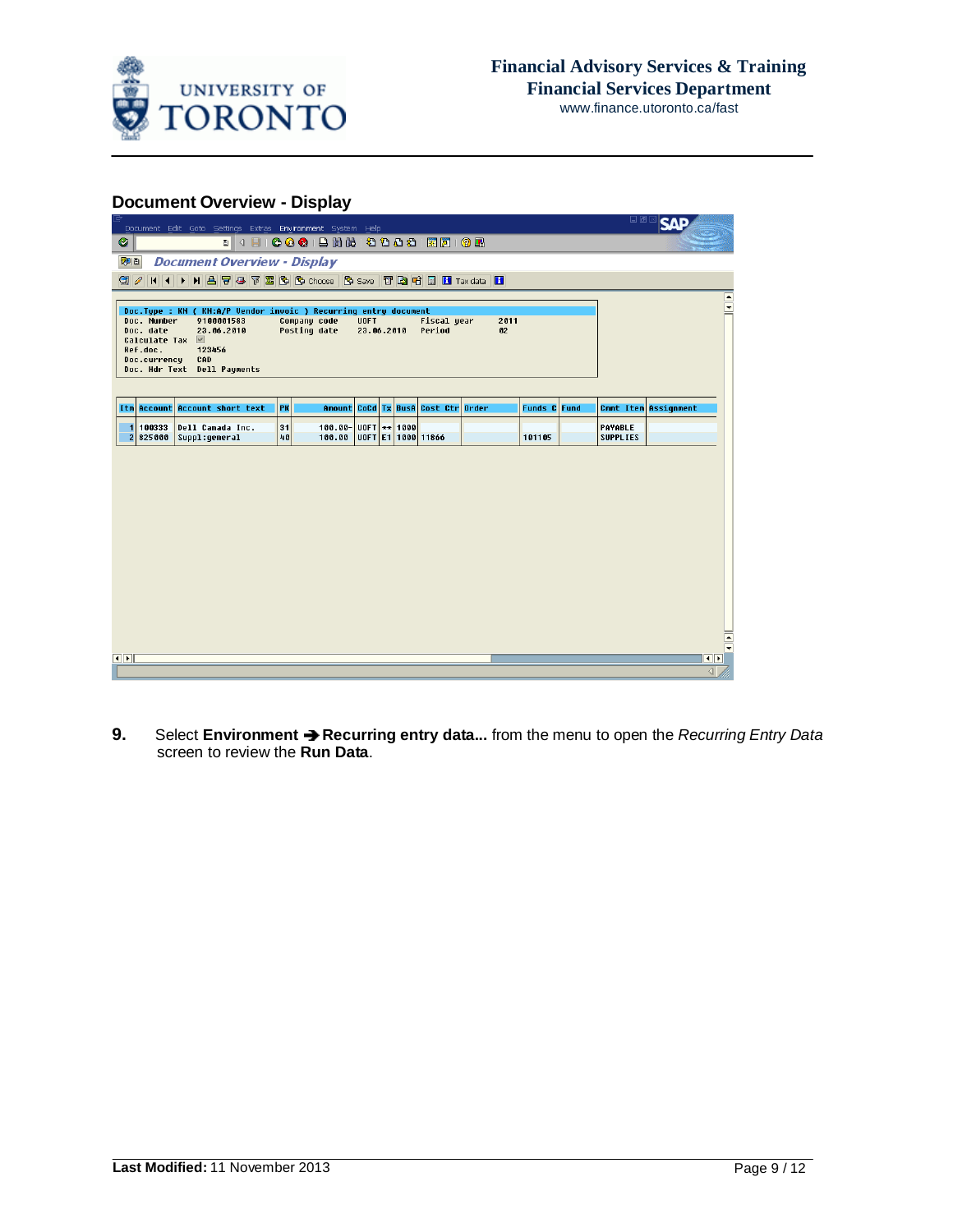

## **Document Overview - Display**

| Document Edit Goto Settings Extras Environment System Help                                                                                                                                                                          |                                  |                           |                                    |            |              | 日回区                        | <b>SAP</b>                              |                      |
|-------------------------------------------------------------------------------------------------------------------------------------------------------------------------------------------------------------------------------------|----------------------------------|---------------------------|------------------------------------|------------|--------------|----------------------------|-----------------------------------------|----------------------|
| Ø                                                                                                                                                                                                                                   |                                  |                           |                                    |            |              |                            |                                         |                      |
| <b>Document Overview - Display</b><br>別日                                                                                                                                                                                            |                                  |                           |                                    |            |              |                            |                                         |                      |
| $Q$ $\theta$                                                                                                                                                                                                                        |                                  |                           |                                    |            |              |                            |                                         |                      |
| Doc.Type : KN ( KN:A/P Vendor invoic ) Recurring entry document<br>Doc. Number<br>9100001583<br>Doc. date<br>23.06.2010<br>Calculate Tax $\blacksquare$<br>Ref.doc.<br>123456<br>Doc.currency<br>CAD<br>Doc. Hdr Text Dell Payments | Company code<br>Posting date     | <b>UOFT</b><br>23.06.2010 | <b>Fiscal year</b><br>Period       | 2011<br>02 |              |                            |                                         | $\boxed{\bullet}$    |
| Itm Account Account short text                                                                                                                                                                                                      | PK                               |                           | Amount CoCd Tx BusA Cost Ctr Order |            | Funds C Fund |                            | Cmmt Item Assignment                    |                      |
| 100333<br>Dell Canada Inc.<br>1<br>2825000<br>Suppl:general                                                                                                                                                                         | 31<br>$100.00 -$<br>40<br>100.00 | $U0FT$ ** 1000            | UOFT E1 1000 11866                 |            | 101105       | PAYABLE<br><b>SUPPLIES</b> |                                         |                      |
|                                                                                                                                                                                                                                     |                                  |                           |                                    |            |              |                            |                                         |                      |
|                                                                                                                                                                                                                                     |                                  |                           |                                    |            |              |                            |                                         | $\frac{1}{\sqrt{2}}$ |
| $\left\vert \cdot\right\vert$                                                                                                                                                                                                       |                                  |                           |                                    |            |              |                            | $\overline{\bullet}$<br>$\triangleleft$ |                      |

**9.** Select **Environment Recurring entry data...** from the menu to open the *Recurring Entry Data* screen to review the **Run Data**.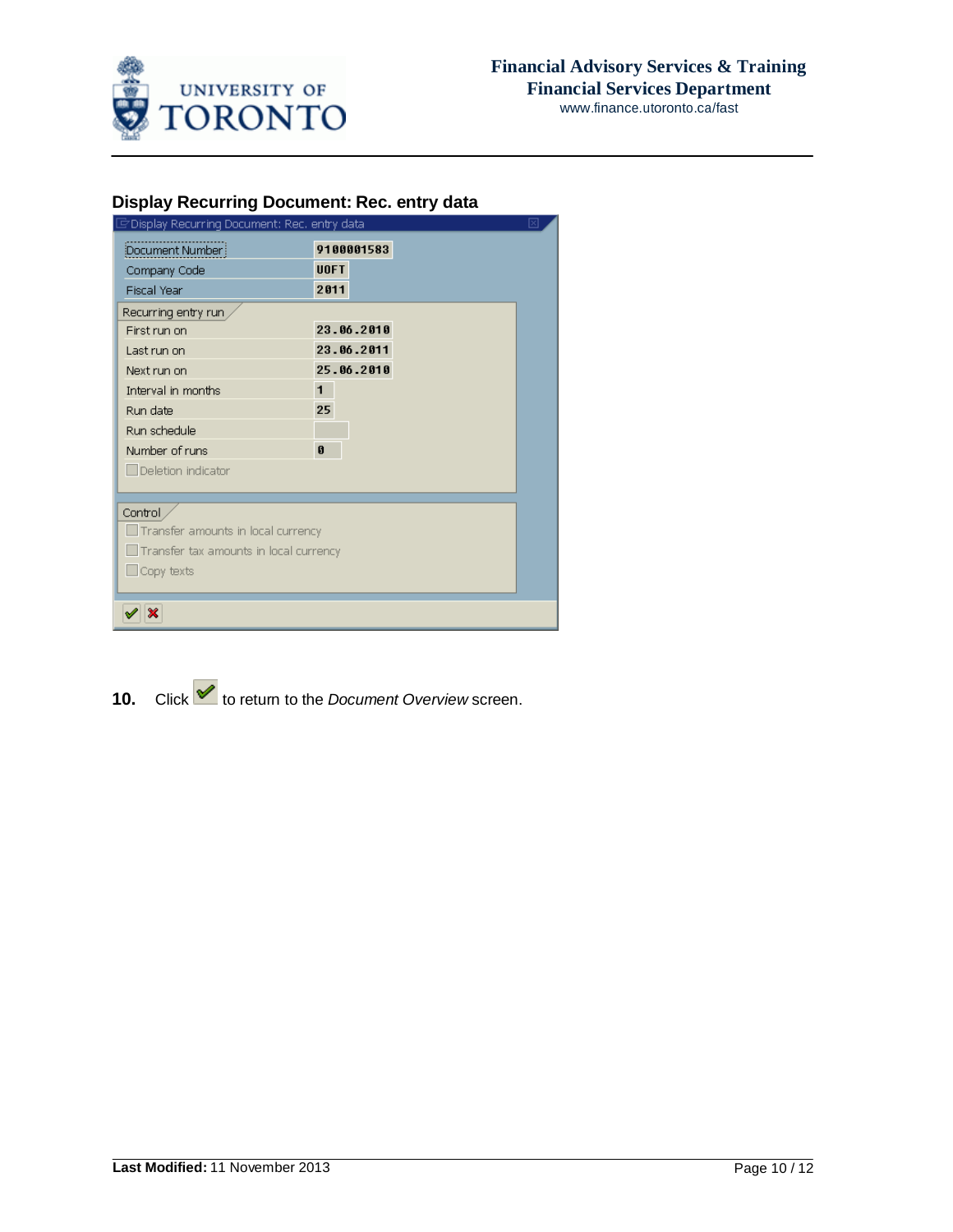

## **Display Recurring Document: Rec. entry data**

| Display Recurring Document: Rec. entry data   |              |            |  |  | 冈 |
|-----------------------------------------------|--------------|------------|--|--|---|
| Document Number                               |              | 9100001583 |  |  |   |
| Company Code                                  | <b>UOFT</b>  |            |  |  |   |
| <b>Fiscal Year</b>                            | 2011         |            |  |  |   |
| Recurring entry run                           |              |            |  |  |   |
| First run on                                  |              | 23.06.2010 |  |  |   |
| Last run on                                   |              | 23.06.2011 |  |  |   |
| Next run on                                   |              | 25.06.2010 |  |  |   |
| Interval in months                            | $\mathbf{1}$ |            |  |  |   |
| Run date                                      | 25           |            |  |  |   |
| Run schedule                                  |              |            |  |  |   |
| Number of runs                                | $\bf{0}$     |            |  |  |   |
| $\Box$ Deletion indicator                     |              |            |  |  |   |
|                                               |              |            |  |  |   |
| Control                                       |              |            |  |  |   |
| Transfer amounts in local currency            |              |            |  |  |   |
| $\Box$ Transfer tax amounts in local currency |              |            |  |  |   |
| $\Box$ Copy texts                             |              |            |  |  |   |
|                                               |              |            |  |  |   |
| ×                                             |              |            |  |  |   |
|                                               |              |            |  |  |   |

10. Click  $\blacktriangleright$  to return to the *Document* Overview screen.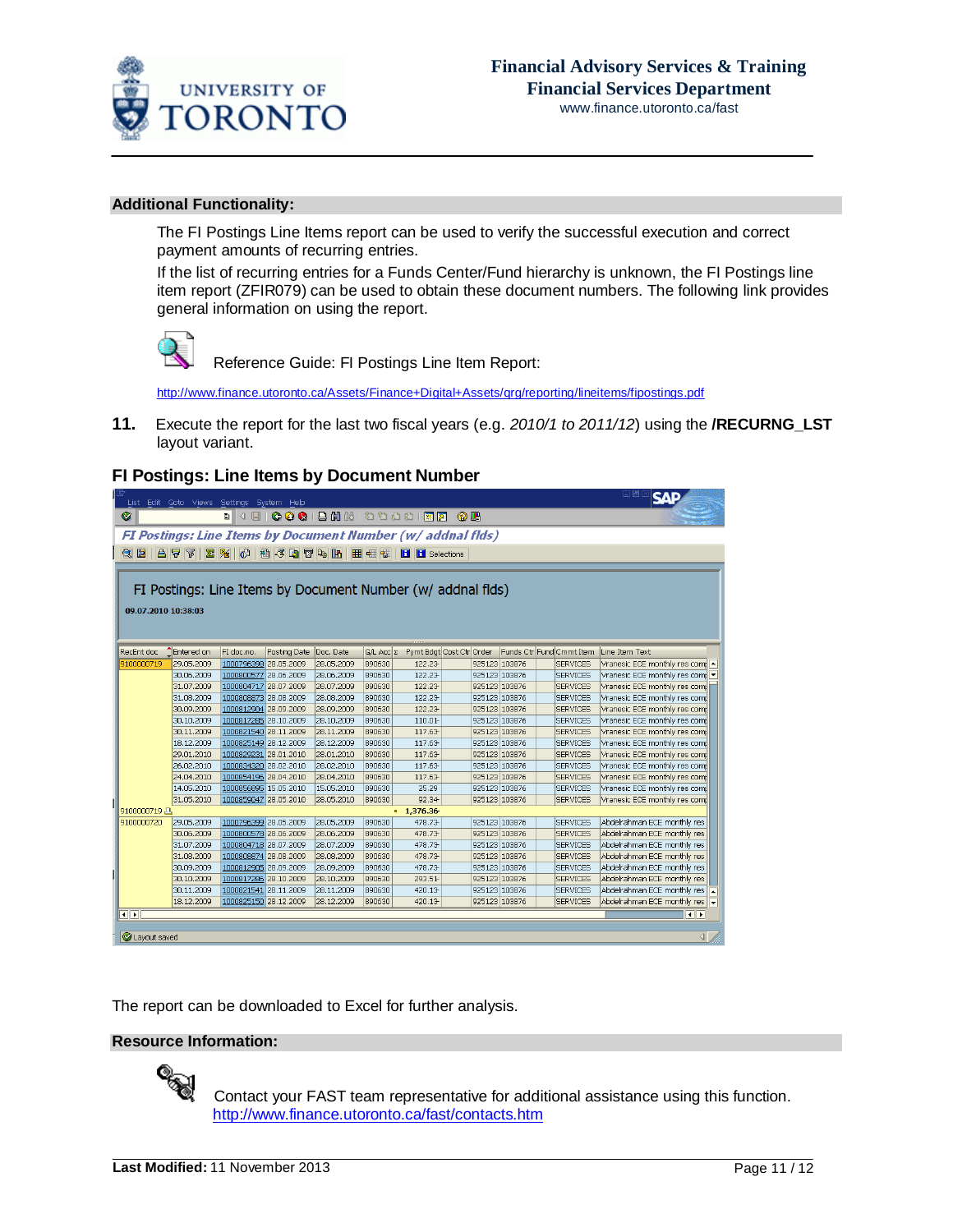

### **Additional Functionality:**

The FI Postings Line Items report can be used to verify the successful execution and correct payment amounts of recurring entries.

If the list of recurring entries for a Funds Center/Fund hierarchy is unknown, the FI Postings line item report (ZFIR079) can be used to obtain these document numbers. The following link provides general information on using the report.



Reference Guide: FI Postings Line Item Report:

[http://www.finance.utoronto.ca/Assets/Finance+Digital+Assets/qrg/reporting/lineitems/fipostings.pdf](http://finance.utoronto.ca/wp-content/uploads/2015/10/fipostings.pdf)

**11.** Execute the report for the last two fiscal years (e.g. *2010/1 to 2011/12*) using the **/RECURNG\_LST** layout variant.

### **FI Postings: Line Items by Document Number**

|                                                                    | List Edit Goto Views Settings System Help                   |                       |              |            |                    |                          |               |  |                          | 口回区<br>ISЛ                      |  |
|--------------------------------------------------------------------|-------------------------------------------------------------|-----------------------|--------------|------------|--------------------|--------------------------|---------------|--|--------------------------|---------------------------------|--|
| ◙                                                                  |                                                             |                       |              |            |                    |                          |               |  |                          |                                 |  |
| <b>FI Postings: Line Items by Document Number (w/ addnal flds)</b> |                                                             |                       |              |            |                    |                          |               |  |                          |                                 |  |
| <b>Q 2 8 7 8 % C 2 4 Q T 4 H H H H H H H H C elections</b>         |                                                             |                       |              |            |                    |                          |               |  |                          |                                 |  |
|                                                                    |                                                             |                       |              |            |                    |                          |               |  |                          |                                 |  |
|                                                                    |                                                             |                       |              |            |                    |                          |               |  |                          |                                 |  |
|                                                                    | FI Postings: Line Items by Document Number (w/ addnal flds) |                       |              |            |                    |                          |               |  |                          |                                 |  |
| 09.07.2010 10:38:03                                                |                                                             |                       |              |            |                    |                          |               |  |                          |                                 |  |
|                                                                    |                                                             |                       |              |            |                    |                          |               |  |                          |                                 |  |
|                                                                    |                                                             |                       |              |            |                    |                          |               |  |                          |                                 |  |
| RecEnt doc                                                         | Entered on                                                  | FI doc.no.            | Posting Date | Doc. Date  | $G/L$ Acc $\Sigma$ | Pymt Bdgt Cost Ctr Order |               |  | Funds Ctr Fund Cmmt Item | Line Item Text                  |  |
| 9100000719                                                         | 29.05.2009                                                  | 1000796398 28.05.2009 |              | 28.05.2009 | 890630             | 122.23                   | 925123 103876 |  | <b>SERVICES</b>          | Vranesic ECE monthly res comp - |  |
|                                                                    | 30.06.2009                                                  | 1000800577 28.06.2009 |              | 28.06.2009 | 890630             | 122.23                   | 925123 103876 |  | <b>SERVICES</b>          | Vranesic ECE monthly res comp   |  |
|                                                                    | 31.07.2009                                                  | 1000804717 28.07.2009 |              | 28.07.2009 | 890630             | 122.23                   | 925123 103876 |  | <b>SERVICES</b>          | Vranesic ECE monthly res comp   |  |
|                                                                    | 31.08.2009                                                  | 1000808873 28.08.2009 |              | 28.08.2009 | 890630             | 122.23                   | 925123 103876 |  | <b>SERVICES</b>          | Vranesic ECE monthly res comp   |  |
|                                                                    | 30.09.2009                                                  | 1000812904 28.09.2009 |              | 28.09.2009 | 890630             | 122.23                   | 925123 103876 |  | <b>SERVICES</b>          | Vranesic ECE monthly res comp   |  |
|                                                                    | 30.10.2009                                                  | 1000817285 28.10.2009 |              | 28.10.2009 | 890630             | 110.01-                  | 925123 103876 |  | <b>SERVICES</b>          | Vranesic ECE monthly res comp   |  |
|                                                                    | 30.11.2009                                                  | 1000821540 28.11.2009 |              | 28.11.2009 | 890630             | 117.63                   | 925123 103876 |  | <b>SERVICES</b>          | Vranesic ECE monthly res comp   |  |
|                                                                    | 18.12.2009                                                  | 1000825149 28.12.2009 |              | 28.12.2009 | 890630             | 117.63                   | 925123 103876 |  | <b>SERVICES</b>          | Vranesic ECE monthly res comi   |  |
|                                                                    | 29.01.2010                                                  | 1000829231 28.01.2010 |              | 28.01.2010 | 890630             | 117.63                   | 925123 103876 |  | <b>SERVICES</b>          | Vranesic ECE monthly res comp   |  |
|                                                                    | 26.02.2010                                                  | 1000834320 28.02.2010 |              | 28.02.2010 | 890630             | 117.63                   | 925123 103876 |  | <b>SERVICES</b>          | Vranesic ECE monthly res comp   |  |
|                                                                    | 24.04.2010                                                  | 1000854196 28.04.2010 |              | 28.04.2010 | 890630             | 117.63                   | 925123 103876 |  | <b>SERVICES</b>          | Vranesic ECE monthly res comp   |  |
|                                                                    | 14.05.2010                                                  | 1000856895 15.05.2010 |              | 15.05.2010 | 890630             | 25.29                    | 925123 103876 |  | <b>SERVICES</b>          | Vranesic ECE monthly res comp   |  |
|                                                                    | 31.05.2010                                                  | 1000859047 28.05.2010 |              | 28.05.2010 | 890630             | 92.34                    | 925123 103876 |  | <b>SERVICES</b>          | Vranesic ECE monthly res comp   |  |
| 9100000719 A                                                       |                                                             |                       |              |            |                    | 1,376.36                 |               |  |                          |                                 |  |
| 9100000720                                                         | 29.05.2009                                                  | 1000796399 28.05.2009 |              | 28.05.2009 | 890630             | 478.73                   | 925123 103876 |  | <b>SERVICES</b>          | Abdelrahman ECE monthly res     |  |
|                                                                    | 30.06.2009                                                  | 1000800578 28.06.2009 |              | 28.06.2009 | 890630             | 478.73                   | 925123 103876 |  | <b>SERVICES</b>          | Abdelrahman ECE monthly res     |  |
|                                                                    | 31.07.2009                                                  | 1000804718 28.07.2009 |              | 28.07.2009 | 890630             | 478.73                   | 925123 103876 |  | <b>SERVICES</b>          | Abdelrahman ECE monthly res     |  |
|                                                                    | 31.08.2009                                                  | 1000808874 28.08.2009 |              | 28.08.2009 | 890630             | 478.73                   | 925123 103876 |  | <b>SERVICES</b>          | Abdelrahman ECE monthly res     |  |
|                                                                    | 30.09.2009                                                  | 1000812905 28.09.2009 |              | 28.09.2009 | 890630             | 478.73                   | 925123 103876 |  | <b>SERVICES</b>          | Abdelrahman ECE monthly res     |  |
|                                                                    | 30.10.2009                                                  | 1000817286 28.10.2009 |              | 28.10.2009 | 890630             | 293.51-                  | 925123 103876 |  | <b>SERVICES</b>          | Abdelrahman ECE monthly res     |  |
|                                                                    | 30.11.2009                                                  | 1000821541 28.11.2009 |              | 28.11.2009 | 890630             | 420.13                   | 925123 103876 |  | <b>SERVICES</b>          | Abdelrahman ECE monthly res     |  |
|                                                                    | 18.12.2009                                                  | 1000825150 28.12.2009 |              | 28.12.2009 | 890630             | 420.13                   | 925123 103876 |  | <b>SERVICES</b>          | Abdelrahman ECE monthly res     |  |
| $\overline{\bullet}$                                               |                                                             |                       |              |            |                    |                          |               |  |                          | $\overline{\mathbf{1}}$         |  |
|                                                                    |                                                             |                       |              |            |                    |                          |               |  |                          |                                 |  |
| Layout saved                                                       |                                                             |                       |              |            |                    |                          |               |  |                          | ◁                               |  |

The report can be downloaded to Excel for further analysis.

### **Resource Information:**



 Contact your FAST team representative for additional assistance using this function. [http://www.finance.utoronto.ca/fast/contacts.htm](http://finance.utoronto.ca/fast/fast-team-contacts-and-faculty-representatives/)